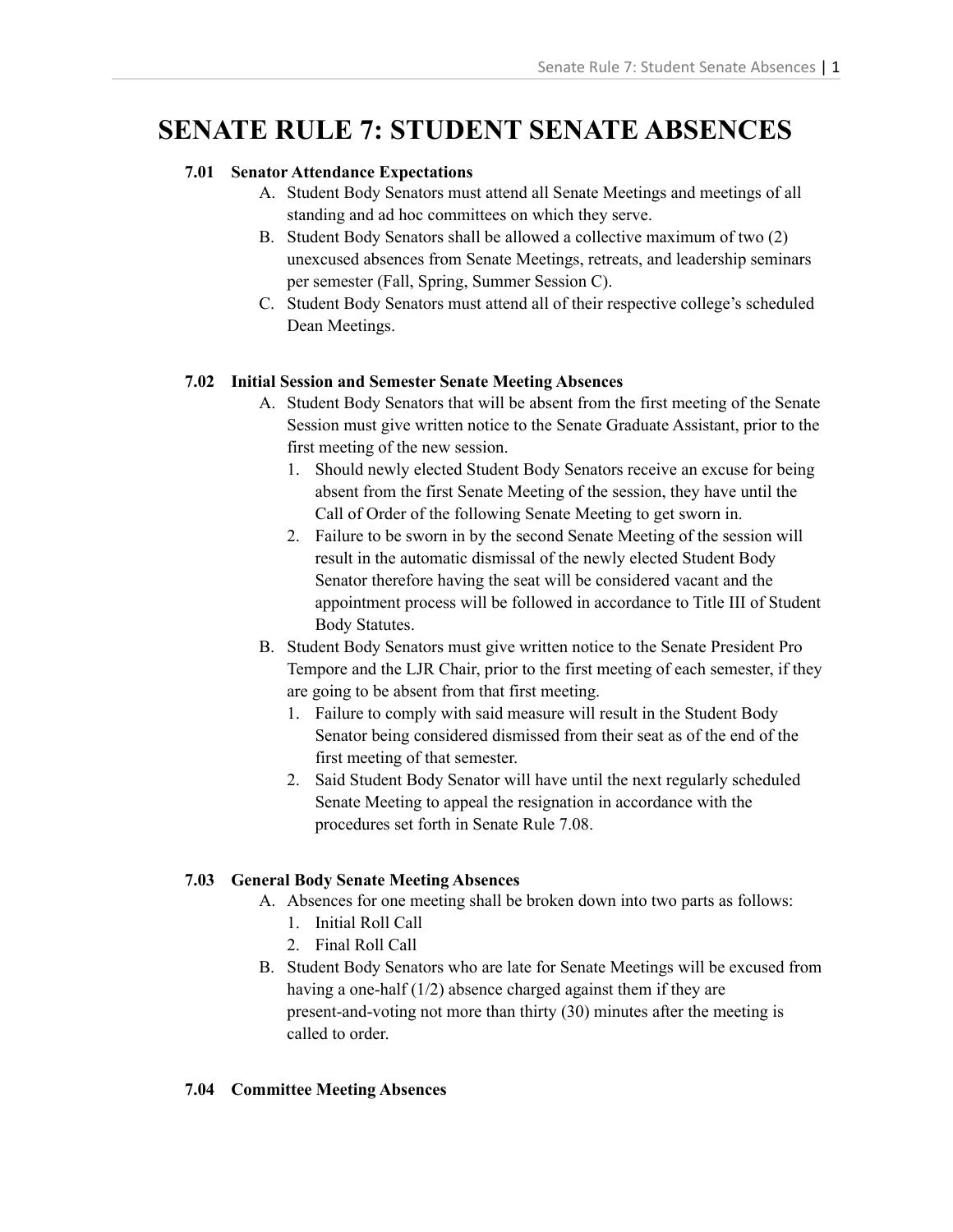# **SENATE RULE 7: STUDENT SENATE ABSENCES**

# **7.01 Senator Attendance Expectations**

- A. Student Body Senators must attend all Senate Meetings and meetings of all standing and ad hoc committees on which they serve.
- B. Student Body Senators shall be allowed a collective maximum of two (2) unexcused absences from Senate Meetings, retreats, and leadership seminars per semester (Fall, Spring, Summer Session C).
- C. Student Body Senators must attend all of their respective college's scheduled Dean Meetings.

# **7.02 Initial Session and Semester Senate Meeting Absences**

- A. Student Body Senators that will be absent from the first meeting of the Senate Session must give written notice to the Senate Graduate Assistant, prior to the first meeting of the new session.
	- 1. Should newly elected Student Body Senators receive an excuse for being absent from the first Senate Meeting of the session, they have until the Call of Order of the following Senate Meeting to get sworn in.
	- 2. Failure to be sworn in by the second Senate Meeting of the session will result in the automatic dismissal of the newly elected Student Body Senator therefore having the seat will be considered vacant and the appointment process will be followed in accordance to Title III of Student Body Statutes.
- B. Student Body Senators must give written notice to the Senate President Pro Tempore and the LJR Chair, prior to the first meeting of each semester, if they are going to be absent from that first meeting.
	- 1. Failure to comply with said measure will result in the Student Body Senator being considered dismissed from their seat as of the end of the first meeting of that semester.
	- 2. Said Student Body Senator will have until the next regularly scheduled Senate Meeting to appeal the resignation in accordance with the procedures set forth in Senate Rule 7.08.

# **7.03 General Body Senate Meeting Absences**

- A. Absences for one meeting shall be broken down into two parts as follows:
	- 1. Initial Roll Call
	- 2. Final Roll Call
- B. Student Body Senators who are late for Senate Meetings will be excused from having a one-half (1/2) absence charged against them if they are present-and-voting not more than thirty (30) minutes after the meeting is called to order.

# **7.04 Committee Meeting Absences**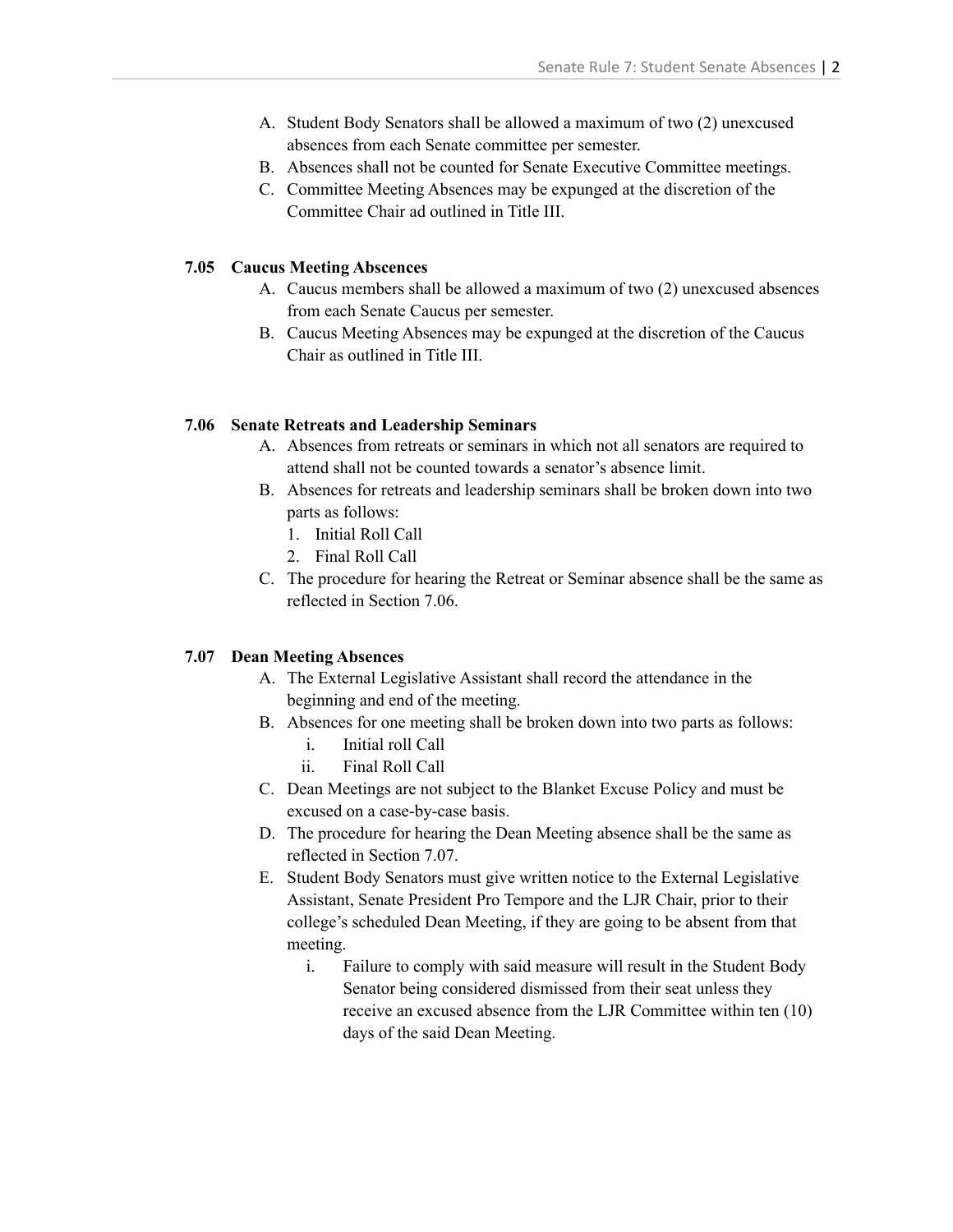- A. Student Body Senators shall be allowed a maximum of two (2) unexcused absences from each Senate committee per semester.
- B. Absences shall not be counted for Senate Executive Committee meetings.
- C. Committee Meeting Absences may be expunged at the discretion of the Committee Chair ad outlined in Title III.

#### **7.05 Caucus Meeting Abscences**

- A. Caucus members shall be allowed a maximum of two (2) unexcused absences from each Senate Caucus per semester.
- B. Caucus Meeting Absences may be expunged at the discretion of the Caucus Chair as outlined in Title III.

#### **7.06 Senate Retreats and Leadership Seminars**

- A. Absences from retreats or seminars in which not all senators are required to attend shall not be counted towards a senator's absence limit.
- B. Absences for retreats and leadership seminars shall be broken down into two parts as follows:
	- 1. Initial Roll Call
	- 2. Final Roll Call
- C. The procedure for hearing the Retreat or Seminar absence shall be the same as reflected in Section 7.06.

#### **7.07 Dean Meeting Absences**

- A. The External Legislative Assistant shall record the attendance in the beginning and end of the meeting.
- B. Absences for one meeting shall be broken down into two parts as follows:
	- i. Initial roll Call
	- ii. Final Roll Call
- C. Dean Meetings are not subject to the Blanket Excuse Policy and must be excused on a case-by-case basis.
- D. The procedure for hearing the Dean Meeting absence shall be the same as reflected in Section 7.07.
- E. Student Body Senators must give written notice to the External Legislative Assistant, Senate President Pro Tempore and the LJR Chair, prior to their college's scheduled Dean Meeting, if they are going to be absent from that meeting.
	- i. Failure to comply with said measure will result in the Student Body Senator being considered dismissed from their seat unless they receive an excused absence from the LJR Committee within ten (10) days of the said Dean Meeting.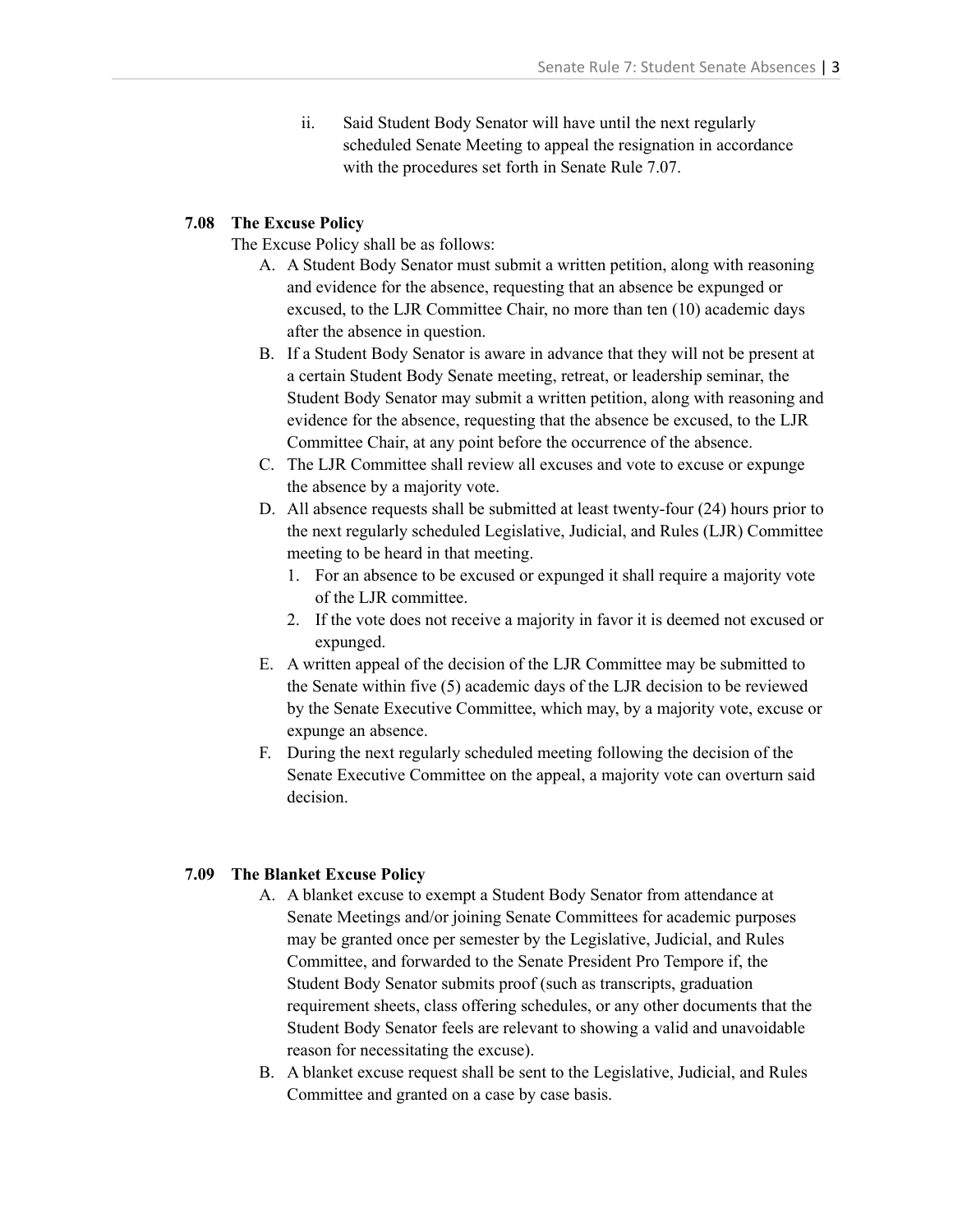ii. Said Student Body Senator will have until the next regularly scheduled Senate Meeting to appeal the resignation in accordance with the procedures set forth in Senate Rule 7.07.

## **7.08 The Excuse Policy**

The Excuse Policy shall be as follows:

- A. A Student Body Senator must submit a written petition, along with reasoning and evidence for the absence, requesting that an absence be expunged or excused, to the LJR Committee Chair, no more than ten (10) academic days after the absence in question.
- B. If a Student Body Senator is aware in advance that they will not be present at a certain Student Body Senate meeting, retreat, or leadership seminar, the Student Body Senator may submit a written petition, along with reasoning and evidence for the absence, requesting that the absence be excused, to the LJR Committee Chair, at any point before the occurrence of the absence.
- C. The LJR Committee shall review all excuses and vote to excuse or expunge the absence by a majority vote.
- D. All absence requests shall be submitted at least twenty-four (24) hours prior to the next regularly scheduled Legislative, Judicial, and Rules (LJR) Committee meeting to be heard in that meeting.
	- 1. For an absence to be excused or expunged it shall require a majority vote of the LJR committee.
	- 2. If the vote does not receive a majority in favor it is deemed not excused or expunged.
- E. A written appeal of the decision of the LJR Committee may be submitted to the Senate within five (5) academic days of the LJR decision to be reviewed by the Senate Executive Committee, which may, by a majority vote, excuse or expunge an absence.
- F. During the next regularly scheduled meeting following the decision of the Senate Executive Committee on the appeal, a majority vote can overturn said decision.

## **7.09 The Blanket Excuse Policy**

- A. A blanket excuse to exempt a Student Body Senator from attendance at Senate Meetings and/or joining Senate Committees for academic purposes may be granted once per semester by the Legislative, Judicial, and Rules Committee, and forwarded to the Senate President Pro Tempore if, the Student Body Senator submits proof (such as transcripts, graduation requirement sheets, class offering schedules, or any other documents that the Student Body Senator feels are relevant to showing a valid and unavoidable reason for necessitating the excuse).
- B. A blanket excuse request shall be sent to the Legislative, Judicial, and Rules Committee and granted on a case by case basis.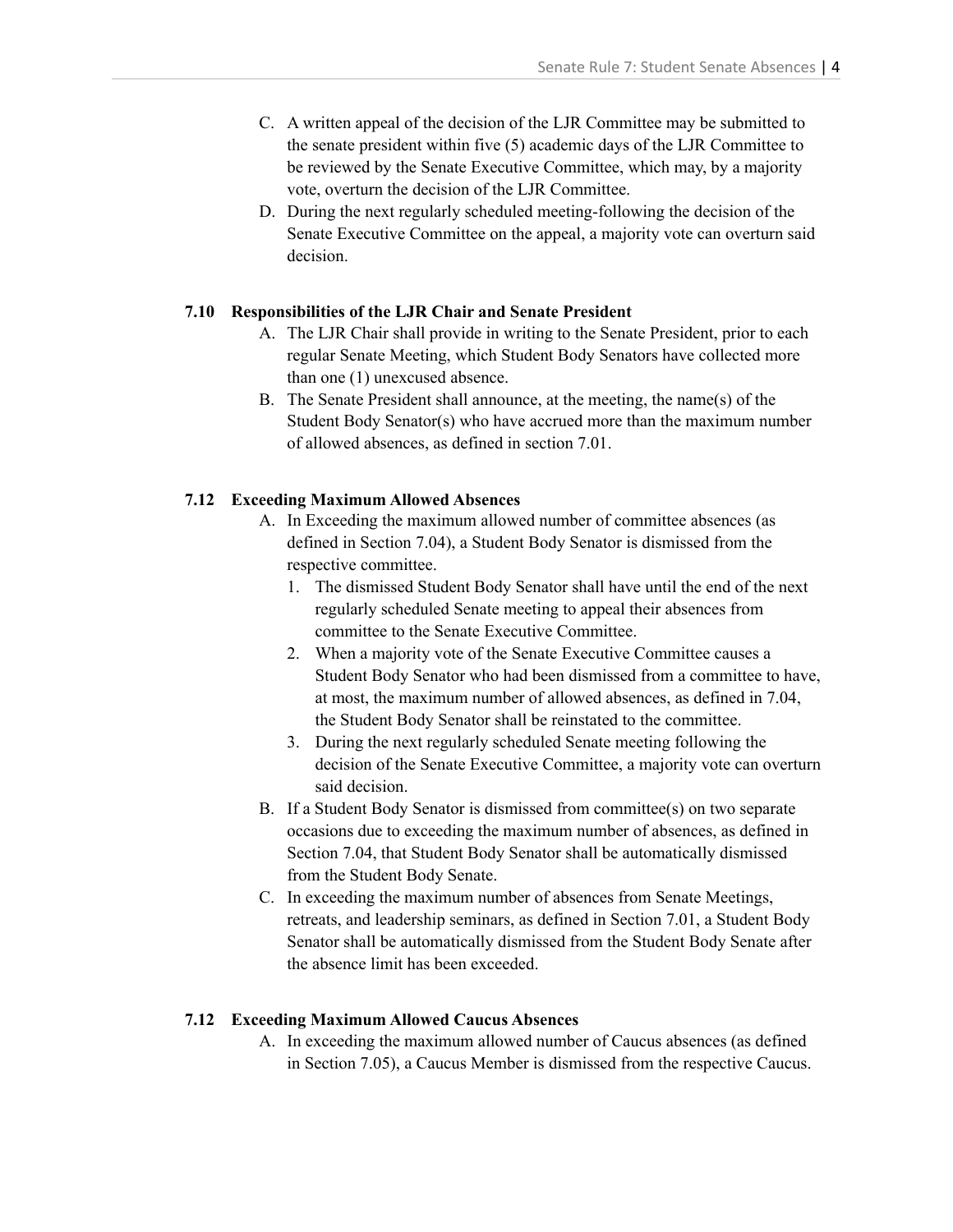- C. A written appeal of the decision of the LJR Committee may be submitted to the senate president within five (5) academic days of the LJR Committee to be reviewed by the Senate Executive Committee, which may, by a majority vote, overturn the decision of the LJR Committee.
- D. During the next regularly scheduled meeting-following the decision of the Senate Executive Committee on the appeal, a majority vote can overturn said decision.

## **7.10 Responsibilities of the LJR Chair and Senate President**

- A. The LJR Chair shall provide in writing to the Senate President, prior to each regular Senate Meeting, which Student Body Senators have collected more than one (1) unexcused absence.
- B. The Senate President shall announce, at the meeting, the name(s) of the Student Body Senator(s) who have accrued more than the maximum number of allowed absences, as defined in section 7.01.

## **7.12 Exceeding Maximum Allowed Absences**

- A. In Exceeding the maximum allowed number of committee absences (as defined in Section 7.04), a Student Body Senator is dismissed from the respective committee.
	- 1. The dismissed Student Body Senator shall have until the end of the next regularly scheduled Senate meeting to appeal their absences from committee to the Senate Executive Committee.
	- 2. When a majority vote of the Senate Executive Committee causes a Student Body Senator who had been dismissed from a committee to have, at most, the maximum number of allowed absences, as defined in 7.04, the Student Body Senator shall be reinstated to the committee.
	- 3. During the next regularly scheduled Senate meeting following the decision of the Senate Executive Committee, a majority vote can overturn said decision.
- B. If a Student Body Senator is dismissed from committee(s) on two separate occasions due to exceeding the maximum number of absences, as defined in Section 7.04, that Student Body Senator shall be automatically dismissed from the Student Body Senate.
- C. In exceeding the maximum number of absences from Senate Meetings, retreats, and leadership seminars, as defined in Section 7.01, a Student Body Senator shall be automatically dismissed from the Student Body Senate after the absence limit has been exceeded.

## **7.12 Exceeding Maximum Allowed Caucus Absences**

A. In exceeding the maximum allowed number of Caucus absences (as defined in Section 7.05), a Caucus Member is dismissed from the respective Caucus.